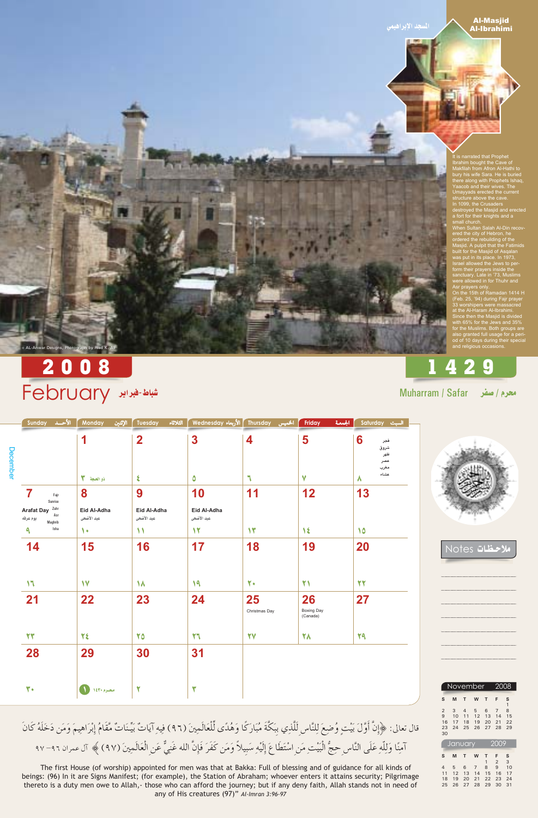المسجد الإبراهيمي

## **Al-Masjid** Al-Ibrahimi

It is narrated that Prophet It is national that I replied<br>Ibrahim bought the Cave of<br>Makfilah from Afron Al-Hathi to<br>bury his wife Sara. He is buried<br>there along with Prophets Ishaq, Yaacob and their wives. The<br>Umayyads erected the current structure above the cave.<br>In 1099, the Crusaders<br>destroyed the Masjid and erected a fort for their knights and a

small church.<br>When Sultan Salah Al-Din recovered the city of Hebron, he<br>ordered the rebuilding of the Masjid. A pulpit that the Fatimids<br>built for the Masjid of Asqalan<br>was put in its place. In 1973,<br>Israel allowed the Jews to perform their prayers inside the<br>sanctuary. Late in '73, Muslims<br>were allowed in for Thuhr and Asr prayers only.<br>On the 15th of Ramadan 1414 H

(Feb. 25, '94) during Fajr prayer 33 worshipers were massacred<br>at the Al-Haram Al-Ibrahimi.<br>Since then the Masjid is divided<br>with 65% for the Jews and 35%<br>for the Muslims. Both groups are also granted full usage for a peri-<br>od of 10 days during their special<br>and religious occasions.

# 1429

Muharram / Safar محرم / صفر





حظات Votes

2008

) AL-Anwar Designs, Photograph by Riad K. Ali

|          | الأحسد<br><b>Sunday</b>                                 | <b>Monday</b><br>الإثنين  | الثلاثاء<br><b>Tuesday</b> | الأربعاء Wednesday        | Thursday<br>الخميس  | <b>Friday</b><br>الجمعة      | Saturday السبت                         |
|----------|---------------------------------------------------------|---------------------------|----------------------------|---------------------------|---------------------|------------------------------|----------------------------------------|
| December |                                                         | 1                         | $\overline{\mathbf{2}}$    | 3                         | 4                   | 5                            | 6<br>فجر<br>شروق<br>ظهر<br>عصر<br>مغرب |
|          |                                                         | ۳<br>ذو الحجة             | $\boldsymbol{\xi}$         | $\bullet$                 | $\mathbf{L}$        | $\mathbf v$                  | عشاء<br>Λ                              |
|          | 7<br>Fajr<br>Sunrise                                    | 8                         | 9                          | 10                        | 11                  | 12                           | 13                                     |
|          | Zuhr<br><b>Arafat Day</b><br>Asr<br>يوم عرفه<br>Maghrib | Eid Al-Adha<br>عيد الأضحى | Eid Al-Adha<br>عيد الأضحى  | Eid Al-Adha<br>عيد الأضحى |                     |                              |                                        |
|          | Isha<br>٩                                               | $\sqrt{ }$                | $\mathcal{N}$              | $\mathbf{Y}$              | $\mathcal{N}$       | $\mathcal{N}$                | 10                                     |
|          | 14                                                      | 15                        | 16                         | 17                        | 18                  | 19                           | 20                                     |
|          | $\mathcal{M}$                                           | $\mathsf{V}$              | $\lambda$                  | 19                        | $\mathbf{Y}$        | $\mathbf{Y}$                 | 22                                     |
|          | 21                                                      | 22                        | 23                         | 24                        | 25<br>Christmas Day | 26<br>Boxing Day<br>(Canada) | 27                                     |
|          | 27                                                      | ٢٤                        | 70                         | 77                        | 77                  | 78                           | 29                                     |
|          | 28                                                      | 29                        | 30                         | 31                        |                     |                              |                                        |
|          | $\mathbf{r}$                                            | محرم ١٤٣٠ ١٤٣             | $\blacktriangledown$       | ۳                         |                     |                              |                                        |



قال تعالى: ﴿إِنَّ أَوَّلَ بَيْتٍ وُضِعَ لِلنَّاسِ لَلَّذِي بِبَكَّةَ مُبَارَكًا وَهُدًى لِّلْعَالَمِينَ (٩٦) فِيهِ آيَاتٌ بَيِّنَاتٌ مَّقَامُ إِبْرَاهِيمَ وَمَن دَخَلَهُ كَانَ آمِنًا وَلِلَّهِ عَلَى النَّاسِ حِجُّ الْبَيْتِ مَنِ اسْتَطَاعَ إِلَيْهِ سَبِيلاً وَمَن كَفَرَ فَإِنَّ الله غَنِيٌّ عَنِ الْعَالَمِينَ (٩٧) ﴾ آل عمران ٩٦- ٩٧

The first House (of worship) appointed for men was that at Bakka: Full of blessing and of guidance for all kinds of beings: (96) In it are Signs Manifest; (for example), the Station of Abraham; whoever enters it attains security; Pilgrimage thereto is a duty men owe to Allah,- those who can afford the journey; but if any deny faith, Allah stands not in need of any of His creatures (97)" Al-Imran 3:96-97

|                                       |                     | November                         |                     |                     | 2008                             |                     |
|---------------------------------------|---------------------|----------------------------------|---------------------|---------------------|----------------------------------|---------------------|
| S                                     | M                   | т                                | W                   | T                   | F                                | s<br>$\mathbf{1}$   |
| $\overline{2}$<br>9<br>16<br>23<br>30 | 3<br>10<br>17<br>24 | $\overline{4}$<br>11<br>18<br>25 | 5<br>12<br>19<br>26 | 6<br>13<br>20<br>27 | $\overline{7}$<br>14<br>21<br>28 | 8<br>15<br>22<br>29 |
|                                       |                     | January                          |                     |                     | 2009                             |                     |
| S<br>4                                | M<br>5              | т                                | W                   | т<br>1              | F<br>2<br>9                      | S<br>3<br>10        |

11 12 13 14 15 16 17

18 19 20 21 22 23 24

25 26 27 28 29 30 31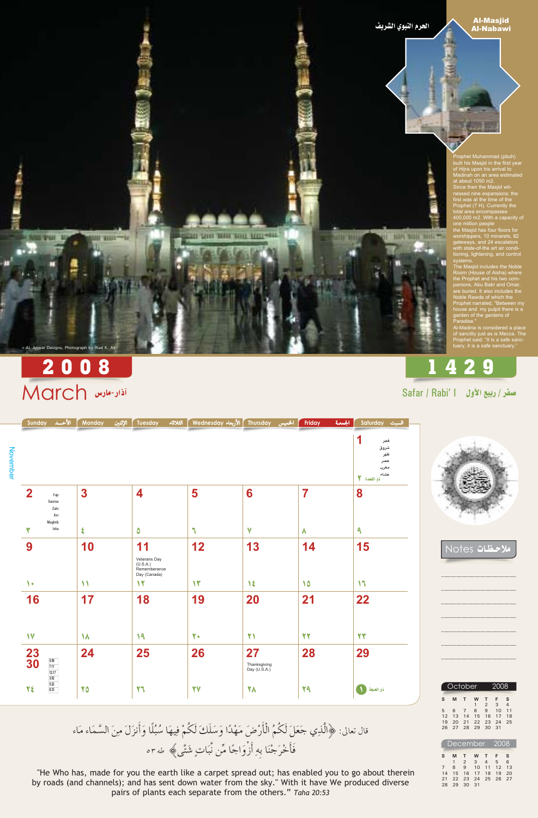الحرم اللبوي الشريف

**WHY WHY WHY THE** 

**Al-Masjid Al-Nabawi** 

Prophet Muhammad (pbuh)<br>built his Masjid in the first year of Hijra upon his arrival to<br>Madinah on an area estimated<br>at about 1050 m2. Since then the Masjid wit-<br>nessed nine expansions; the<br>first was at the time of the Prophet (7 H). Currently the<br>total area encompasses<br>400,000 m2. With a capacity of one million people

the Masjid has four floors for<br>worshippers, 10 minarets, 82<br>gateways, and 24 escalators<br>with state-of-the art air condi-<br>tioning, lightening, and control systems.

Systems.<br>The Masjid includes the Noble<br>Room (House of Aisha) where<br>the Prophet and his two com-<br>panions, Abu Bakr and Omar, are buried. It also includes the<br>Noble Rawda of which the<br>Prophet narrated, "Between my house and my pulpit there is a garden of the gardens of -<br>Paradise."

Al-Madina is considered a place of sanctity just as is Mecca. The<br>Prophet said: "It is a safe sanc-<br>tuary, it is a safe sanctuary."

# 1429



& AL-Anwar Designs, Photograph by Riad K. Ali

**Service** 

| Safar / Rabi'   ربيع الأول   Safar / Rabi' |  |  |  |
|--------------------------------------------|--|--|--|
|                                            |  |  |  |

السبت Saturday الجمعة | فجر شروق November ظهر عصر مغرب عشاء دو القعدة ٢  $\overline{2}$ 5 6  $\overline{\mathbf{7}}$ 8  $\overline{\mathbf{3}}$ 4  $\mathsf{Fajr}$ Sunrise Zuhr Asr Maghrib Isha  $\checkmark$  $\mathbf{a}$ Δ ٦

**BUILDING RIGHTING** 



Notes تا

| 9                                         | 10        | 11                                                       | 12        | 13                                 | 14 | 15            |
|-------------------------------------------|-----------|----------------------------------------------------------|-----------|------------------------------------|----|---------------|
|                                           |           | Veterans Day<br>(U.S.A.)<br>Rememberance<br>Day (Canada) |           |                                    |    |               |
| $\bullet$                                 | 11        | $\sqrt{ }$                                               | 13        | $\lambda$                          | 10 | $\mathcal{M}$ |
| 16                                        | 17        | 18                                                       | 19        | 20                                 | 21 | 22            |
|                                           |           |                                                          |           |                                    |    |               |
| $\mathsf{V}$                              | $\lambda$ | 19                                                       | 7.        | $\mathbf{Y}$                       | 22 | 22            |
| 23<br>30<br>5:59<br>7:11<br>12:17<br>3:02 | 24        | 25                                                       | 26        | 27<br>Thanksgiving<br>Day (U.S.A.) | 28 | 29            |
| 5:22<br>٢٤<br>6:33                        | 70        | $\mathbf{Y}^{\mathsf{H}}$                                | <b>YY</b> | 78                                 | 29 | ذو الحجة      |

قال تعالى: ﴿الَّذِي جَعَلَ لَكُمُ الْأَرْضَ مَهْدًا وَسَلَكَ لَكُمْ فِيهَا سُبُلًا وَأَنزَلَ مِنَ السَّمَاء مَاء فَأَخْرَجْنَا بِهِ أَزْوَاجًا مِّن نَّبَاتٍ شَتَّى﴾ طهrه

"He Who has, made for you the earth like a carpet spread out; has enabled you to go about therein by roads (and channels); and has sent down water from the sky." With it have We produced diverse pairs of plants each separate from the others." Taha 20:53

|    |    | October        |                 |                | 2008            |                |
|----|----|----------------|-----------------|----------------|-----------------|----------------|
| S  | M  | т              | W               | т              | F               | S              |
|    |    |                | $\mathbf{1}$    | $\overline{2}$ | 3               | $\overline{4}$ |
| 5  | 6  | $\overline{7}$ | 8               | 9              | 10 <sup>1</sup> | 11             |
| 12 | 13 |                | 14 15           |                | 16 17 18        |                |
| 19 | 20 | 21             | 22              | 23             | 24              | 25             |
| 26 | 27 | 28             | 29              | 30             | 31              |                |
|    |    |                |                 |                |                 |                |
|    |    |                | <b>December</b> |                | 2008            |                |

|             | December 2008 |             |                      |       |  |   |  |  |  |  |  |  |
|-------------|---------------|-------------|----------------------|-------|--|---|--|--|--|--|--|--|
|             |               |             |                      |       |  |   |  |  |  |  |  |  |
| S.          | M             | T           |                      | W T F |  | S |  |  |  |  |  |  |
|             | 1             |             | 2 3 4 5              |       |  | 6 |  |  |  |  |  |  |
| $7^{\circ}$ | 8             |             | 9 10 11 12 13        |       |  |   |  |  |  |  |  |  |
| 14          |               |             | 15 16 17 18 19 20    |       |  |   |  |  |  |  |  |  |
|             |               |             | 21 22 23 24 25 26 27 |       |  |   |  |  |  |  |  |  |
|             |               | 28 29 30 31 |                      |       |  |   |  |  |  |  |  |  |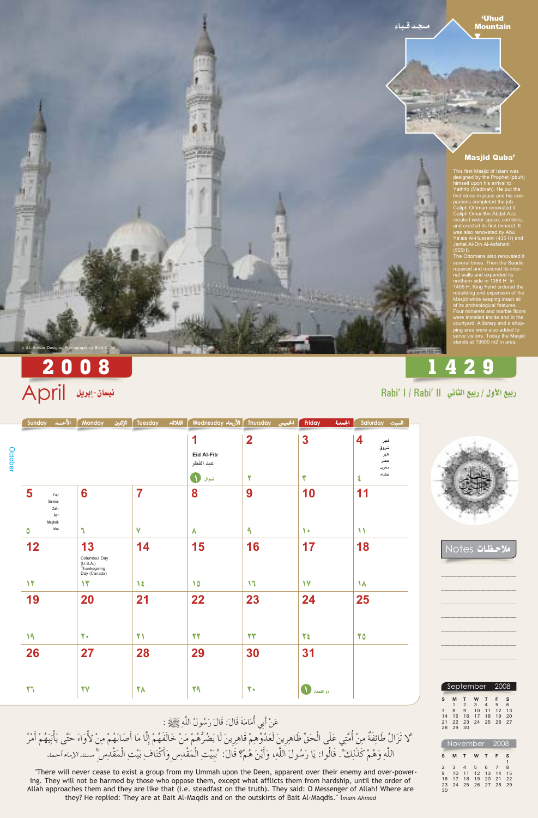

### **'Uhud Mountain**

## **Masjid Quba'**

This first Masjid of Islam was<br>designed by the Prophet (pbuh) himself upon his arrival to<br>Yathrib (Madinah). He put the<br>first stone in place and his companions completed the job.<br>Caliph Othman renovated it.<br>Caliph Omar Bin Abdel-Aziz created wider space, corridors,<br>and erected its first minaret. It<br>was also renovated by Abu<br>Ya'ala Al-Husseini (435 H) and January 11 September 1999<br>Jamal Al-Din Al-Asfahani<br>(555H).<br>The Ottomans also renovated it

several times. Then the Saudis<br>repaired and restored its inter-<br>nal walls and expanded its northern side in 1388 H. In 1405 H, King Fahd ordered the<br>rebuilding and expansion of the<br>Masjid while keeping intact all of its archeological features.<br>Four minarets and marble floors<br>were installed inside and in the courtyard. A library and a shop-<br>ping area were also added to<br>serve visitors. Today the Masjid<br>stands at 13500 m2 in area.

# 1429

# 2008 نيسان-إبريل April

AL-Anwar Designs, Photograph by Riad

|         | Sunday | الأحلد                         | <b>Monday</b> | الإثنين | Tuesday | الثلاثاء | N Thursday ∫ الأربعاء Wednesday | الخميس      | Friday | الجمعة<br>Saturday<br>السبت |
|---------|--------|--------------------------------|---------------|---------|---------|----------|---------------------------------|-------------|--------|-----------------------------|
|         |        |                                |               |         |         |          |                                 | $\mathbf 2$ | 3      | 4<br>فجر                    |
| October |        |                                |               |         |         |          | <b>Eid Al-Fitr</b><br>عيد الفطر |             |        | شروق<br>ظهر<br>عصر<br>مغرب  |
|         |        |                                |               |         |         |          | شوال                            |             |        | عشاء                        |
|         | IJ     | Fajr<br>Sunrise                | 6             |         |         |          | 8                               | 9           | 10     | 11                          |
|         |        | Zuhr<br>Asr<br>Maghrib<br>Isha |               |         |         |          |                                 |             |        |                             |





الاحظات Notes

| 12           | 13                                                       | 14           | 15 | 16            | 17               | 18        |
|--------------|----------------------------------------------------------|--------------|----|---------------|------------------|-----------|
|              | Columbus Day<br>(U.S.A.)<br>Thanksgiving<br>Day (Canada) |              |    |               |                  |           |
| 12           | $\mathcal{N}$                                            | 1٤           | 10 | $\mathcal{M}$ | $\mathsf{V}$     | $\lambda$ |
| 19           | 20                                                       | 21           | 22 | 23            | 24               | 25        |
| 19           | 7.                                                       | $\mathbf{Y}$ | 22 | 27            | ٢٤               | 70        |
| 26           | 27                                                       | 28           | 29 | 30            | 31               |           |
| $\mathbf{Y}$ | 77                                                       | 78           | 29 | $\mathbf{r}$  | ذو القعدة للمحمد |           |

عَنْ أَبِي أُمَامَةَ قَالَ: قَالَ رَسُولُ اللَّهِ عَلَيْلِةٍ : "لا تَزَالُ طَائِفَةٌ مِنْ أُمَّتِي عَلَى الْحَقِّ ظَاهِرِينَ لَعَدُوِّهِمْ قَاهِرِينَ لَا يَضُرُّهُمْ مَنْ خَالَفَهُمْ إِلَّا مَا أَصَابَهُمْ مِنْ لأُوَاءَ حَتَّى يَأْتِيَهُمْ أَمْرُ .<br>اللَّهِ وَهُمْ كَذَلِك". قَالُوا: يَا رَسُولَ اللَّهِ، وَأَيْنَ هُمْ؟ قَالَ: "بِيَيْتِ الْمُقْدِسِ وَأَكْنَافِ بَيْتِ الْمَقْدِسِ" مسندالإمام أحمد

"There will never cease to exist a group from my Ummah upon the Deen, apparent over their enemy and over-powering. They will not be harmed by those who oppose them, except what afflicts them from hardship, until the order of Allah approaches them and they are like that (i.e. steadfast on the truth). They said: O Messenger of Allah! Where are they? He replied: They are at Bait Al-Maqdis and on the outskirts of Bait Al-Maqdis." Imam Ahmad

|                |          | September 2008         |                |                         |                       |          |
|----------------|----------|------------------------|----------------|-------------------------|-----------------------|----------|
| S              | M        | т                      | <b>W</b>       | т                       | F                     | s        |
|                | 1<br>8   | $\overline{2}$<br>9 10 | 3 <sup>3</sup> | $\overline{4}$<br>$-11$ | $5^{\circ}$<br>12     | 6<br>13  |
| 14<br>21<br>28 | 15<br>29 | 16<br>30               | 17 18          |                         | 1.9<br>22 23 24 25 26 | 20<br>27 |

| November 2008 |    |         |          |              |                |    |  |  |  |  |
|---------------|----|---------|----------|--------------|----------------|----|--|--|--|--|
| S             | M  | $T_{-}$ | <b>W</b> | $\mathbf{T}$ | - F            | s  |  |  |  |  |
|               |    |         |          |              |                |    |  |  |  |  |
| 2             | 3  |         | 4 5 6    |              | $\overline{7}$ | 8  |  |  |  |  |
| 9             | 10 |         | 11 12 13 |              | 14             | 15 |  |  |  |  |
| 16            | 17 | 18      | 19       | 20           | 21             | 22 |  |  |  |  |
| 23            | 24 | 25      |          | 26 27 28     |                | 29 |  |  |  |  |
| 30            |    |         |          |              |                |    |  |  |  |  |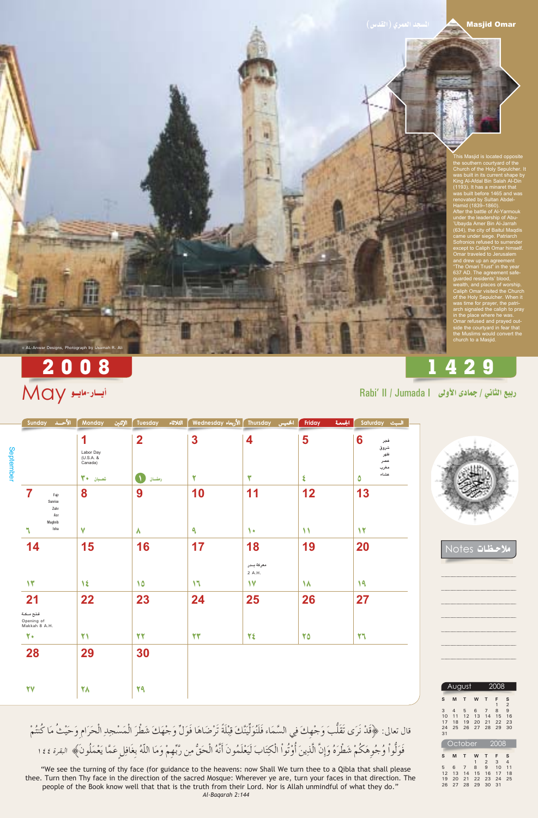## **Masjid Omar**

 $\blacktriangle$ 

This Masjid is located opposite<br>the southern courtyard of the Church of the Holy Sepulcher. It<br>was built in its current shape by<br>King Al-Afdal Bin Salah Al-Din

(1193). It has a minaret that<br>
was built before 1465 and was<br>
renovated by Sultan Abdel-<br>
Hamid (1839–1860).<br>
After the battle of Al-Yarmouk<br>
under the leadership of Abu-<br>
Ubayda Amer Bin Al-Jarrah<br>
Ubayda Amer Bin Al-Jar (634), the city of Baitul Maqdis<br>came under siege. Patriarch<br>Sofronios refused to surrender except to Caliph Omar himself.<br>
Omar traveled to Jerusalem<br>
and drew up an agreement<br>
"The Omari Trust" in the year<br>
The California of the state of the state of the state of the state of the state of the state of the state 637 AD. The agreement safe-<br>guarded residents' blood,<br>wealth, and places of worship. Caliph Omar visited the Church<br>of the Holy Sepulcher. When it<br>was time for prayer, the patriwas time for prayer, the patri-<br>arch signaled the caliph to pray<br>in the place where he was.<br>Omar refused and prayed out-<br>side the courtyard in fear that<br>the Muslims would convert the<br>church to a Masjid.

# 1429

# 2008 أيسار-مايلو May

& AL-Anwar Designs, Photograph by Usamah R. Ali

|           | الأحسد<br>Sunday                                  | الإثنين<br>Monday                                   | الثلاثاء<br>Tuesday         | Nednesday  الأربعاء Wednesday | الخميس   | الجمعة<br>Friday | Saturday<br>السبت                                   |
|-----------|---------------------------------------------------|-----------------------------------------------------|-----------------------------|-------------------------------|----------|------------------|-----------------------------------------------------|
| September |                                                   | Labor Day<br>$(U.S.A.$ &<br>Canada)<br>3.<br>شعسبان | 2<br>رمضيان                 | 3<br>٠                        | 4<br>يهه | 5                | 6<br>فجر<br>شروق<br>ظهر<br>عصر<br>مغرب<br>عشاء<br>υ |
|           | Fajr<br>Sunrise<br>Zuhr<br>Asr<br>Maghrib<br>Isha | 8                                                   | 9<br>$\boldsymbol{\Lambda}$ | 10<br>a                       | ∣∙       | 12               | 13<br>$\blacktriangledown$                          |





الاحظات Notes

| 14                                       | 15           | 16 | 17            | 18                   | 19        | 20 |  |
|------------------------------------------|--------------|----|---------------|----------------------|-----------|----|--|
|                                          |              |    |               | معركة بىدر<br>2 A.H. |           |    |  |
| $\mathbf{y}$                             | 1٤           | 10 | $\mathcal{M}$ | $\mathsf{V}$         | $\lambda$ | 19 |  |
| 21                                       | 22           | 23 | 24            | 25                   | 26        | 27 |  |
| فتح مـكـة<br>Opening of<br>Makkah 8 A.H. |              |    |               |                      |           |    |  |
| $\mathbf{Y}$                             | $\mathbf{Y}$ | 27 | 27            | ٢٤                   | 70        | 77 |  |
| 28                                       | 29           | 30 |               |                      |           |    |  |
|                                          |              |    |               |                      |           |    |  |
| <b>YY</b>                                | <b>YA</b>    | 29 |               |                      |           |    |  |

قال تعالى: ﴿قَدْ نَرَى تَقَلُّبَ وَجْهِكَ فِي السَّمَاء فَلَنُوَلِّيَنَّكَ قِبْلَةً تَرْضَاهَا فَوَلِّ وَجْهَكَ شَطْرَ الْمَسْجِدِ الْحَرَامِ وَحَيْثُ مَا كُنتُمْ فَوَلُّواْ وُجُوِهَكُمْ شَطْرَهُ وَإِنَّ الَّذِينَ أُوْتُواْ الْكِتَابَ لَيَعْلَمُونَ أَنَّهُ الْحَقُّ مِن رَّبِّهِمْ وَمَا اللّهُ بِغَافِلِ عَمَّا يَعْمَلُونَ﴾ البقرة ٢٤٤

"We see the turning of thy face (for guidance to the heavens: now Shall We turn thee to a Qibla that shall please thee. Turn then Thy face in the direction of the sacred Mosque: Wherever ye are, turn your faces in that direction. The people of the Book know well that that is the truth from their Lord. Nor is Allah unmindful of what they do." Al-Bagarah 2:144

|                           |                     | August              |                     |                     | 2008                |                     |  |
|---------------------------|---------------------|---------------------|---------------------|---------------------|---------------------|---------------------|--|
| S                         | M                   | т                   | W                   | т                   | F<br>1              | S<br>$\overline{2}$ |  |
| 3<br>10<br>17<br>24<br>31 | 4<br>11<br>18<br>25 | 5<br>12<br>19<br>26 | 6<br>13<br>20<br>27 | 7<br>14<br>21<br>28 | 8<br>15<br>22<br>29 | 9<br>16<br>23<br>30 |  |
| <b>October</b><br>2008    |                     |                     |                     |                     |                     |                     |  |

| s | М | T | <b>W</b> | T                    | F S |                |
|---|---|---|----------|----------------------|-----|----------------|
|   |   |   |          | $1 \quad 2 \quad 3$  |     | $\overline{4}$ |
|   |   |   |          | 5 6 7 8 9 10 11      |     |                |
|   |   |   |          | 12 13 14 15 16 17 18 |     |                |
|   |   |   |          | 19 20 21 22 23 24 25 |     |                |
|   |   |   |          | 26 27 28 29 30 31    |     |                |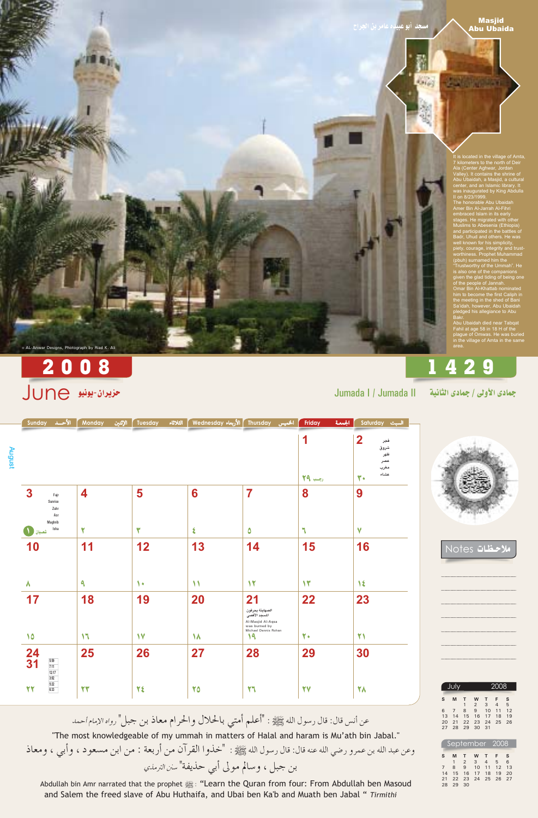**Karley** 

## **Masjid Abu Ubaida**

n ay n

It is located in the village of Amta, It is located in the village of Amta,<br>7 kilometers to the north of Deir<br>Ala (Center Aghwar, Jordan<br>Valley). It contains the shrine of<br>Abu Ubaidah, a Masjid, a cultural<br>center, and an Islamic library. It<br>was inaugurated by

embraced Islam in its early<br>stages. He migrated with other<br>Muslims to Abesenia (Ethiopia)<br>and participated in the battles of<br>Badr, Uhud and others. He was<br>well known for his simplicity, piety, courage, integrity and trust-<br>worthiness. Prophet Muhammad<br>(pbuh) surnamed him the "Trustworthy of the Ummah". He<br>is also one of the companions<br>given the glad tiding of being one

of the people of Jannah.<br>Omar Bin Al-Khattab nominated bina Bin Al-Matab hominated<br>him to become the first Caliph in<br>the meeting in the shed of Bani<br>Sa'idah, however, Abu Ubaidah<br>pledged his allegiance to Abu<br>Bakr.

Abu Ubaidah died near Tabqat<br>Fahil at age 58 in 18 H of the plague of Omwas. He was buried<br>in the village of Amta in the same area.

# 1429

جمادي الأولى / جمادى الثانية





Notes تفات

Jumada | / Jumada ||

# 2008

## مزيران-يونيو **JUNE**

& AL-Anwar Designs, Photograph by Riad K. Ali

| 10                                              | 11                  | 12                   | 13            | 14                                                                                             | 15            | 16           |  |
|-------------------------------------------------|---------------------|----------------------|---------------|------------------------------------------------------------------------------------------------|---------------|--------------|--|
|                                                 |                     |                      |               |                                                                                                |               |              |  |
| $\lambda$                                       | $\ddot{\mathbf{a}}$ | ٩<br>$\blacklozenge$ | $\mathcal{N}$ | $\mathbf{y}$                                                                                   | $\mathcal{N}$ | $\lambda$    |  |
| 17                                              | 18                  | 19                   | 20            | 21                                                                                             | 22            | 23           |  |
|                                                 |                     |                      |               | الصهاينة يحرقون<br>المسجد الأقصى<br>Al-Masjid Al-Aqsa<br>was burned by<br>Michael Dennis Rohan |               |              |  |
| 10                                              | $\mathcal{M}$       | $\mathsf{V}$         | $\lambda$     | 19                                                                                             | 7.            | $\mathbf{Y}$ |  |
| $\frac{24}{31}$<br>5:59<br>$\frac{7:11}{12:17}$ | 25                  | 26                   | 27            | 28                                                                                             | 29            | 30           |  |
| $\frac{3:02}{5:22}$<br>6:33<br>22               | 22                  | 28                   | 70            | $\mathbf{Y}^{\mathsf{r}}$                                                                      | 77            | 78           |  |

عن أنس قال: قال رسول الله ﷺ : "أعلم أمتبي بالحلال والحرام معاذ بن جبل" رواه الإمام أحمد

"The most knowledgeable of my ummah in matters of Halal and haram is Mu'ath bin Jabal." وعن عبد الله بن عمرو رضي الله عنه قال: قال رسول الله ﷺ : "خذوا القرآن من أربعة : من ابن مسعود ، وأبي ، ومعاذ بن جبل ، وسالم مولى أبي حذيفة" سنن الترمذي

Abdullah bin Amr narrated that the prophet still the Quran from four: From Abdullah ben Masoud and Salem the freed slave of Abu Huthaifa, and Ubai ben Ka'b and Muath ben Jabal " Tirmithi

|                     | Ju             |                     |                     |                                   | 2008                |                |
|---------------------|----------------|---------------------|---------------------|-----------------------------------|---------------------|----------------|
| S                   | M              | т<br>1              | w<br>2              | т<br>3                            | F<br>$\overline{4}$ | S<br>5         |
| 6<br>13<br>20<br>27 | 14<br>21<br>28 | 8<br>15<br>22<br>29 | 9<br>16<br>23<br>30 | 10<br>17<br>24<br>$\overline{31}$ | 11<br>18<br>25      | 12<br>19<br>26 |

| September 2008 |    |                |                   |            |    |    |  |  |  |
|----------------|----|----------------|-------------------|------------|----|----|--|--|--|
| $\mathsf{S}$   | M  | T              | <b>W</b>          | T          | F. | S  |  |  |  |
|                |    | $\overline{2}$ | $\mathbf{3}$      | $4\quad 5$ |    | 6  |  |  |  |
|                | 8  | 9 10           |                   | $11 \t12$  |    | 13 |  |  |  |
| 14             |    |                | 15 16 17 18       |            | 19 | 20 |  |  |  |
| 21             |    |                | 22 23 24 25 26 27 |            |    |    |  |  |  |
| 28             | 29 | 30             |                   |            |    |    |  |  |  |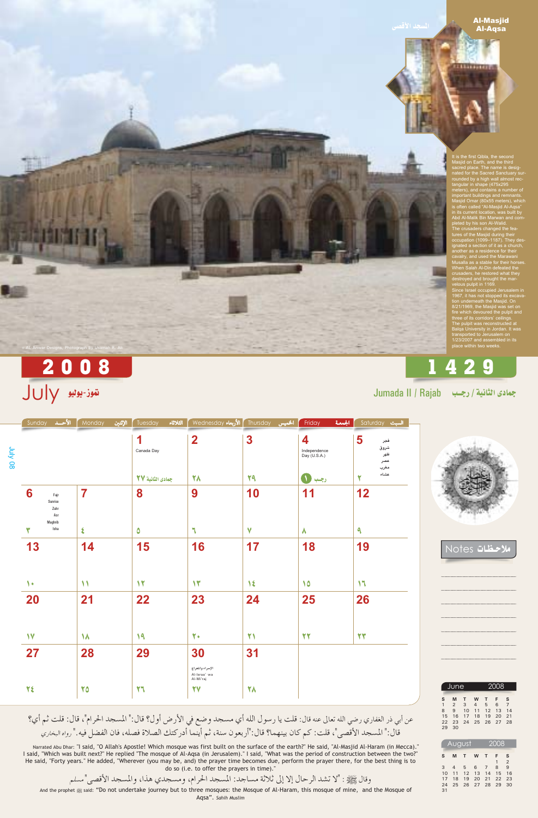### **Al-Masjid Al-Aqsa**

**Tillington** 

It is the first Qibla, the second<br>Masjid on Earth, and the third<br>sacred place. The name is designated for the Sacred Sanctuary<br>surnated for the Sacred Sanctuary sur-<br>rounded by a high wall almost rec-<br>tangular in shape (475x295<br>meters), and contains a number of<br>important buildings and remnants.<br>Masjid Omar (80x55 meters), which<br>is often called "Al-Ma ignated a section of it as a church,<br>another as a residence for their<br>cavalry, and used the Marawani<br>Musalla as a stable for their horses<br>When Salah Al-Din defeated the<br>crusaders, he restored what they<br>destroyed and brough

velous pulpit in 1169.<br>Since Israel occupied Jerusalem in<br>1967, it has not stopped its excava-<br>tion underneath the Masjid. On<br>8/21/1969, the Masjid was set on<br>fire which devoured the pulpit and<br>three of its corridors' ceil place within two weeks.

# 1429

Jumada II / Rajab رجب Jumada II / Rajab

|                | الأحسد<br>Sunday                        | الإثنين<br>Monday       | الثلاثاء<br>Tuesday | الأربعاء Wednesday                            | Thursday<br>الخميس | الجمعة<br>Friday                    | Saturday السبت                         |
|----------------|-----------------------------------------|-------------------------|---------------------|-----------------------------------------------|--------------------|-------------------------------------|----------------------------------------|
| <b>July 08</b> |                                         |                         | 1<br>Canada Day     | $\overline{\mathbf{2}}$                       | 3                  | 4<br>Independence<br>Day $(U.S.A.)$ | 5<br>فجر<br>شروق<br>ظهر<br>عصر<br>مغرب |
|                |                                         |                         | جمادى الثانية ٢٧    | 78                                            | 29                 | رجب ل                               | عشاء<br>۲                              |
|                | 6<br>Fajr<br>Sunrise<br>Zuhr<br>Asr     | $\overline{\mathbf{7}}$ | 8                   | 9                                             | 10                 | 11                                  | 12                                     |
|                | Maghrib<br>Isha<br>$\blacktriangledown$ | $\blacklozenge$         | $\bullet$           | $\mathbf{r}$                                  | $\mathbf v$        | $\lambda$                           | $\mathbf{a}$                           |
|                | 13                                      | 14                      | 15                  | 16                                            | 17                 | 18                                  | 19                                     |
|                | $\sqrt{ }$                              | $\mathcal{N}$           | $\mathbf{Y}$        | $\mathcal{N}$                                 | $\mathcal{N}$      | 10                                  | $\mathcal{M}$                          |
|                | 20                                      | 21                      | 22                  | 23                                            | 24                 | 25                                  | 26                                     |
|                | $\mathsf{V}$                            | $\lambda$               | 19                  | $\mathbf{Y}$                                  | 21                 | 22                                  | 27                                     |
|                | 27                                      | 28                      | 29                  | 30                                            | 31                 |                                     |                                        |
|                |                                         |                         |                     | الإسراء والمعراج<br>Al-Israa' wa<br>Al-Mi'raj |                    |                                     |                                        |
|                | ٢٤                                      | 70                      | 77                  | 77                                            | 78                 |                                     |                                        |

<mark>2008</mark><br>توز-يونيو UV



الاحظات Notes

عن أبي ذر الغفاري رضي الله تعالى عنه قال: قلت يا رسول الله أي مسجد وضع في الأرض أول؟ قال:" المسجد الحرام"، قال: قلت ثم أي؟ قال:" المسجد الأقصى"، قلت: كم كان بينهما؟ قال:"أربعون سنة، ثم أينما أدركتك الصلاة فصله، فان الفضل فيه." رواه البخاري

Narrated Abu Dhar: "I said, "O Allah's Apostle! Which mosque was first built on the surface of the earth?" He said, "Al-Masjid Al-Haram (in Mecca)." I said, "Which was built next?" He replied "The mosque of Al-Aqsa (in Jerusalem)." I said, "What was the period of construction between the two?" He said, "Forty years." He added, "Wherever (you may be, and) the prayer time becomes due, perform the prayer there, for the best thing is to do so (i.e. to offer the prayers in time)."

وقال ﷺ : "لا تشد الرحال إلا إلى ثلاثة مساجد: المسجد الحرام، ومسجدي هذا، والمسجد الأقصى"مسلم And the prophet said: "Do not undertake journey but to three mosques: the Mosque of Al-Haram, this mosque of mine, and the Mosque of Aqsa". Sahih Muslim



|    |    | August       | 2008 |      |    |                |
|----|----|--------------|------|------|----|----------------|
| S  | M  | $\mathsf{T}$ | W    | т    | F  | s              |
|    |    |              |      |      | 1  | $\overline{2}$ |
| 3  | 4  | 5            | 6    | 7    | 8  | 9              |
| 10 | 11 | 12           | 13   | 14   | 15 | 16             |
| 17 | 18 | 19           | 20   | 21   | 22 | 23             |
| 24 | 25 | 26           | 27   | - 28 | 29 | 30             |
| 31 |    |              |      |      |    |                |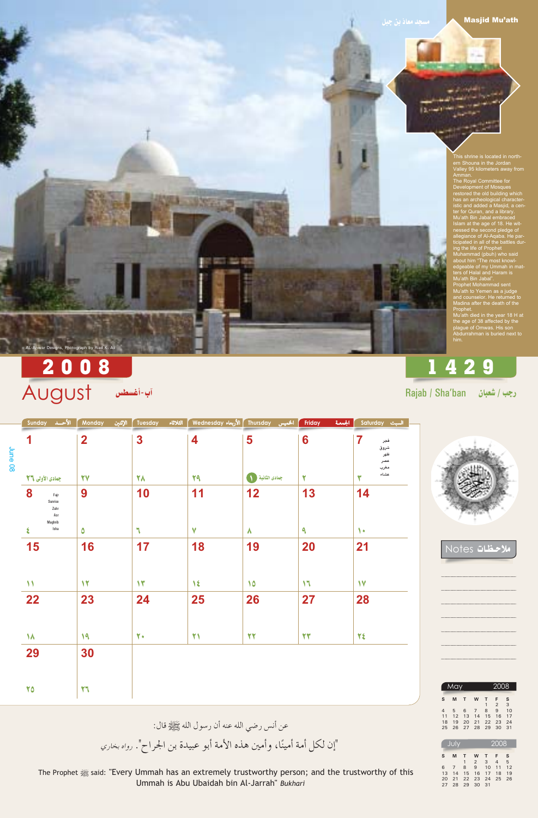### **Masjid Mu'ath**

**Marine** 

This shrine is located in north-<br>ern Shouna in the Jordan Valley 95 kilometers away from<br>Amman.<br>The Royal Committee for

The Royal Committee for<br>Development of Mosques<br>restored the old building which<br>has an archeological character-<br>istic and added a Masjid, a cen-<br>ter for Quran, and a library.<br>Mu'ath Bin Jabal embraced<br>Islam at the age of 18 ticipated in all of the battles dur-<br>ing the life of Prophet<br>Muhammad (pbuh) who said<br>about him "The most knowl-<br>edgeable of my Ummah in mat-<br>ters of Halal and Haram is<br>Mu'ath Bin Jabal".<br>Prophet Mohammad sent Mu'ath to Yemen as a judge<br>and counselor. He returned to<br>Madina after the death of the

Prophet.<br>Mu'ath died in the year 18 H at<br>the age of 38 affected by the plague of Omwas. His son<br>Abdurrahman is buried next to

## .<br>◎ AL-Anwar Designs, Photograph by Riad K. Ali

# 2008 August البا-أغسطس August

|            | ا الأحــد Sunday                               | الإثنين<br>Monday | الثلاثاء<br>Tuesday | ์ Wednesday الأربعاء Wednesday | الخميس                 | الجمعة<br>Friday | السبت Saturday                    |
|------------|------------------------------------------------|-------------------|---------------------|--------------------------------|------------------------|------------------|-----------------------------------|
| June<br>80 |                                                | $\mathbf 2$       | 3                   | 4                              | 5                      | 6                | فجر<br>شروق<br>ظهر<br>عصر<br>مغرب |
|            | جمادى الأولى ٢٦                                | 77                | 78                  | 29                             | جمادى الثانية ( ١      | ۲                | عشاء<br>ىد                        |
|            | 8<br>Fajr<br>Sunrise<br>Zuhr<br>Asr<br>Maghrib | 9                 | 10                  | 11                             | 12                     | 13               | 14                                |
|            | Isha                                           | ٥                 |                     | v                              | $\boldsymbol{\Lambda}$ | A                | $\mathbf{L}$                      |



**Notes** تفات

1429

Rajab / Sha'ban رجب / شعبان

| 15            | 16           | 17            | 18           | 19 | <b>20</b>     | 21           |  |
|---------------|--------------|---------------|--------------|----|---------------|--------------|--|
|               |              |               |              |    |               |              |  |
| $\mathcal{N}$ | $\mathbf{Y}$ | $\mathcal{N}$ | $\lambda$    | 10 | $\mathcal{M}$ | $\mathsf{V}$ |  |
| <b>22</b>     | 23           | 24            | 25           | 26 | 27            | 28           |  |
|               |              |               |              |    |               |              |  |
| $\lambda$     | 19           | $\mathbf{Y}$  | $\mathbf{Y}$ | 27 | 22            | ٢٤           |  |
| 29            | 30           |               |              |    |               |              |  |
|               |              |               |              |    |               |              |  |
| 70            | $\mathbf{y}$ |               |              |    |               |              |  |
|               |              |               |              |    |               |              |  |

عن أنس رضي الله عنه أن رسول الله ﷺ قال:

The Prophet signal: "Every Ummah has an extremely trustworthy person; and the trustworthy of this Ummah is Abu Ubaidah bin Al-Jarrah" Bukhari

| <b>May</b>     |    |   | 2008                 |                |    |
|----------------|----|---|----------------------|----------------|----|
| M              | т  | W | т                    | F              | S  |
|                |    |   | $\mathbf{1}$         | $\mathfrak{D}$ | 3  |
| 5 <sup>5</sup> | 6  |   | 8                    | 9              | 10 |
| 12             | 13 |   | 15                   | 16             | 17 |
| 1.9            | 20 |   |                      | 23             | 24 |
|                |    |   |                      | 30             | 31 |
|                |    |   | 14<br>21<br>26 27 28 | 7<br>29        | 22 |

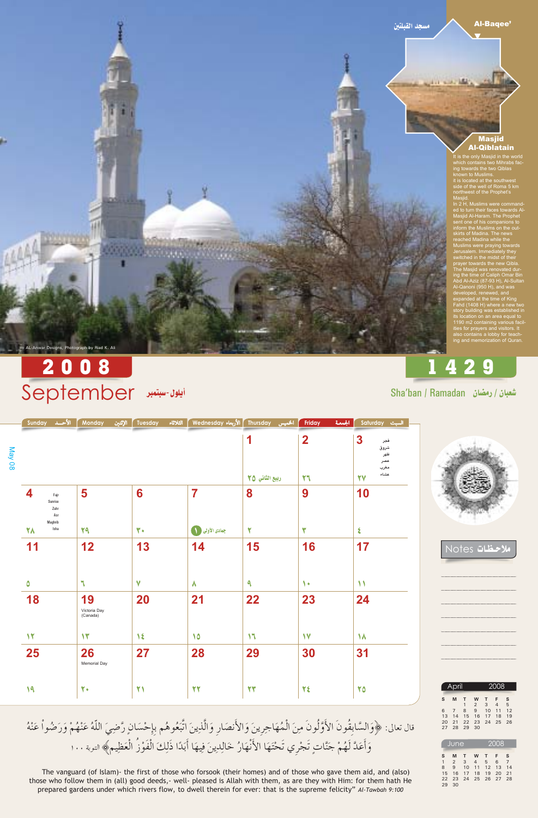the same like.

#### **Al-Bagee'**

### **Masjid Al-Qiblatain**

It is the only Masjid in the world which contains two Mihrabs fac-<br>ing towards the two Qiblas<br>known to Muslims. Kribwin to Muslims.<br>
it is located at the southwest<br>
side of the well of Roma 5 km<br>
northwest of the Prophet's

Masjid.<br>In 2 H, Muslims were commanded to turn their faces towards Al-Masjid Al-Haram. The Prophet<br>sent one of his companions to<br>inform the Muslims on the outskirts of Madina. The news<br>reached Madina while the Muslims were praying towards Jerusalem. Immediately they<br>switched in the midst of their switched in the midst of their<br>prayer towards the new Qibla.<br>The Masjid was renovated dur-<br>ing the time of Caliph Omar Bin<br>Abd Al-Aziz (87-93 H), Al-Sultan<br>Al-Qanoni (950 H), and was<br>developed, renewed, and<br>expanded at the also contains a lobby for teach-<br>ing and memorization of Quran.

# 1429

## 2008 September اليلون-سبتمبر

AL-Anwar Designs, Photograph by Riad K. Ali

الخميس Thursday الأحسـد Wednesday الثلاثاء Tuesday الإثنين Monday الأحسـد Sunday المحسـد السبت Saturday الجمعة Friday  $\mathbf 2$ 1 3 فجر May 08 شروق ظهر عصر مغرب عشاء ربيع الثاني ٢٥ 27 77  $\overline{\mathbf{7}}$ 8 10 5 6 9 Fajr Sunrise Zuhr Asr Maghrib Isha جمادى الأولى ( ١ **YA** ٢q ٣. ۲ ۳  $\epsilon$ 

## Sha'ban / Ramadan (مضان



مظات Notes

| 11           | 12                             | 13          | 14                     | 15           | 16           | 17            |  |
|--------------|--------------------------------|-------------|------------------------|--------------|--------------|---------------|--|
|              |                                |             |                        |              |              |               |  |
| ٥            | ч                              | $\mathbf v$ | $\boldsymbol{\Lambda}$ | $\mathbf{a}$ | $\bullet$    | $\mathcal{N}$ |  |
| 18           | 19<br>Victoria Day<br>(Canada) | 20          | 21                     | 22           | 23           | 24            |  |
| $\mathbf{Y}$ | $\mathcal{N}$                  | $\lambda$   | 10                     | $\mathsf{M}$ | $\mathsf{V}$ | $\lambda$     |  |
| 25           | 26<br>Memorial Day             | 27          | 28                     | 29           | 30           | 31            |  |
| 19           | 7.                             | 21          | 22                     | 22           | 28           | 70            |  |

قال تعالى: ﴿وَالسَّابِقُونَ الأَوَّلُونَ مِنَ الْمُهَاجِرِينَ وَالأَنصَارِ وَالَّذِينَ اتَّبَعُوهُم بِإِحْسَانٍ رَّضِيَ اللَّهُ عَنْهُمْ وَرَضُواْ عَنْهُ وَأَعَدَّ لَهُمْ جَنَّاتٍ تَجْري تَحْتَهَا الأَنْهَارُ خَالِدِينَ فِيهَا أَبَدًا ذَلِكَ الْفَوْزُ الْعَظِيمِ﴾ التوبة ١٠٠

The vanguard (of Islam)- the first of those who forsook (their homes) and of those who gave them aid, and (also) those who follow them in (all) good deeds,- well- pleased is Allah with them, as are they with Him: for them hath He prepared gardens under which rivers flow, to dwell therein for ever: that is the supreme felicity" Al-Tawbah 9:100

|          | April             |                |                     | 2008                  |                     |          |  |
|----------|-------------------|----------------|---------------------|-----------------------|---------------------|----------|--|
| S        | М                 | T<br>1         | W<br>$\overline{2}$ | T<br>3                | F<br>$\overline{4}$ | s<br>5   |  |
| 6<br>13  | $7^{\circ}$<br>14 | 8<br>15        | $9^{\circ}$<br>16   | 10<br>17 <sup>7</sup> | 11<br>18            | 12<br>19 |  |
| 20<br>27 | 28                | 21 22 23<br>29 | 30                  | 24                    | 25                  | 26       |  |

|    | <b>June</b>    |    | 2008 |    |    |    |
|----|----------------|----|------|----|----|----|
|    |                |    |      |    |    |    |
| S  | M              | т  | W    | т  | F  | s  |
|    | $\mathfrak{D}$ | 3  | 4    | 5  | 6  |    |
| 8  | $\mathbf{Q}$   | 10 | 11   | 12 | 13 | 14 |
| 15 | 16             | 17 | 18   | 19 | 20 | 21 |
| 22 | 23             | 24 | 25   | 26 | 27 | 28 |
| 29 | 30             |    |      |    |    |    |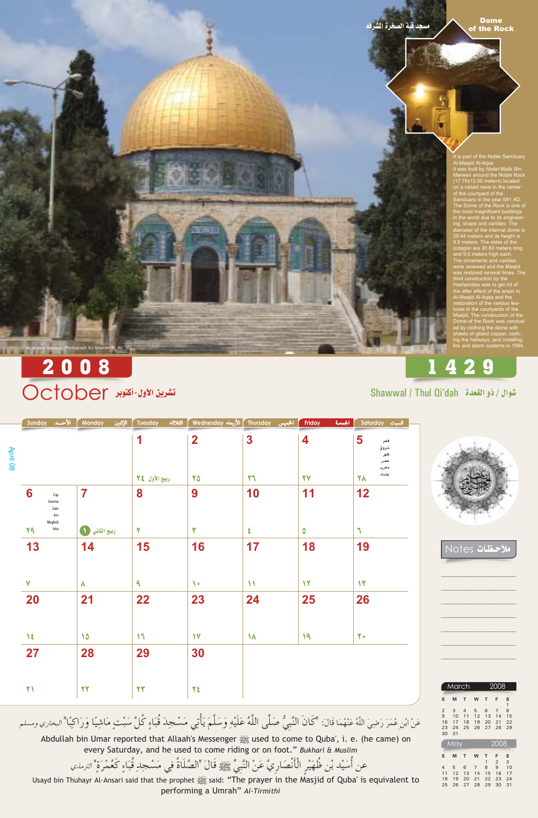**Dome** of the Rock

.<br>It is part of the Noble Sanctuary<br>Al-Masjid Al-Aqsa It was built by Abdel-Malik Bin<br>Marwan around the Noble Rock<br>(17.70x13.50 meters) located on a raised nave in the center<br>of the courtyard of the<br>Sanctuary in the year 691 AD. The Dome of the Rock is one of the most magnificent buildings<br>in the world due to its engineer ing, shape and vanities. The diameter of the internal dome is<br>29.44 meters and its height is<br>9.8 meters. The sides of the octagon are 20.60 meters long<br>and 9.5 meters high each.<br>The ornaments and vanities were renewed and the Masjid was restored several times. The<br>third construction by the<br>Hashemites was to get rid of the after effect of the arson to<br>Al-Masjid Al-Aqsa and the<br>restoration of the various features in the courtyards of the<br>Masjid. The construction of the<br>Dome of the Rock was concluded by clothing the dome with<br>sheets of gilded copper, cloth-<br>ing the hallways, and installing<br>fire and alarm systems in 1994.

# 1429

Shawwal / Thul Qi'dah هُوال / ذو القعدة

## 2008 تشرين الأول-أكتوبر October

e AL-Anwar Designs, Photograph by Usamah R. Ali

السبت Saturday الجمعة | المخميس Thursday الأحسـد Wednesday الثلاثاء Tuesday الإثنين Monday الأحسـد Sunday المحسد المسلم Friday  $\overline{\mathbf{2}}$  $\boldsymbol{3}$ 1 4 5 فجر April 08 شروق ظهر عصر مغرب عشاء 70 27 77 78 ربيع الأول كالم 10 11  $12$  $\overline{\mathbf{7}}$ 8 9 6 Fajr Sunrise Zuhr Asr Maghrib Isha 29 ٣ ٤  $\mathbf{r}$ ربيع الثاني ( ١ ۲ ٥



حظات Notes

| 14        | 15            | 16              | 17            | <b>18</b>    | 19            |  |
|-----------|---------------|-----------------|---------------|--------------|---------------|--|
|           |               |                 |               |              |               |  |
| $\lambda$ | $\mathbf{a}$  | $\blacklozenge$ | $\mathcal{N}$ | $\mathbf{Y}$ | $\mathcal{N}$ |  |
| 21        | 22            | 23              | 24            | 25           | 26            |  |
|           |               |                 |               |              |               |  |
| 10        | $\mathcal{M}$ | $\mathsf{V}$    | $\lambda$     | 19           | $\mathbf{Y}$  |  |
| 28        | 29            | 30              |               |              |               |  |
|           |               |                 |               |              |               |  |
| 22        | 27            | ٢٤              |               |              |               |  |
|           |               |                 |               |              |               |  |

عَنْ ابْنِ عُمَرَ رَضِيَ اللَّهُ عَنْهُمَا قَالَ: "كَانَ النَّبِيُّ صَلَّى اللَّهُ عَلَيْهِ وَسَلَّمَ يَأْتِي مَسْجِدَ قُبَاءٍ كُلَّ سَبْتٍ مَاشِيًا وَرَاكِبًا" البخاري ومسلم

used to come to Quba', i. e. (he came) on Abdullah bin Umar reported that Allaah's Messenger  $\frac{1}{2}$  used to come to Quba', i. e. (he came) on every Saturday, and he used to come riding or on foot." Bukhari & Muslim

عن أُسَيْد بْنِ ظُهَيْرِ الْأَنْصَارِيَّ عَنْ النَّبِيِّ ﷺ قَالَ "الصَّلَاةُ فِي مَسْجِدِ قُبَاءٍ كَعُمْرَةٍ" الترمذي

performing a Umrah" Al-Tirmithi

|                | March |                |    |    | 2008           |                                          |
|----------------|-------|----------------|----|----|----------------|------------------------------------------|
| S              | M     | T              | W  | т  | F              |                                          |
|                |       |                |    |    |                |                                          |
| $\overline{2}$ | 3     | $\overline{4}$ | 5  | 6  | $\overline{7}$ |                                          |
| 9              | 10    | 11             | 12 | 13 | 14             |                                          |
| 16             | 17    | 18             | 19 | 20 | 21             |                                          |
| 23             | 24    | 25             | 26 | 27 | 28             | S<br>$\mathbf{1}$<br>8<br>15<br>22<br>29 |

|    | May |    | 2008 |    |                |    |
|----|-----|----|------|----|----------------|----|
| S  | M   | т  | W    | т  | F              | S  |
|    |     |    |      | 1  | $\mathfrak{D}$ | 3  |
| 4  | 5   | 6  | 7    | 8  | 9              | 10 |
| 11 | 12  | 13 | 14   | 15 | 16             | 17 |
| 18 | 19  | 20 | 21   | 22 | 23             | 24 |
| 25 | 26  | 27 | 28   | 29 | 30             | 31 |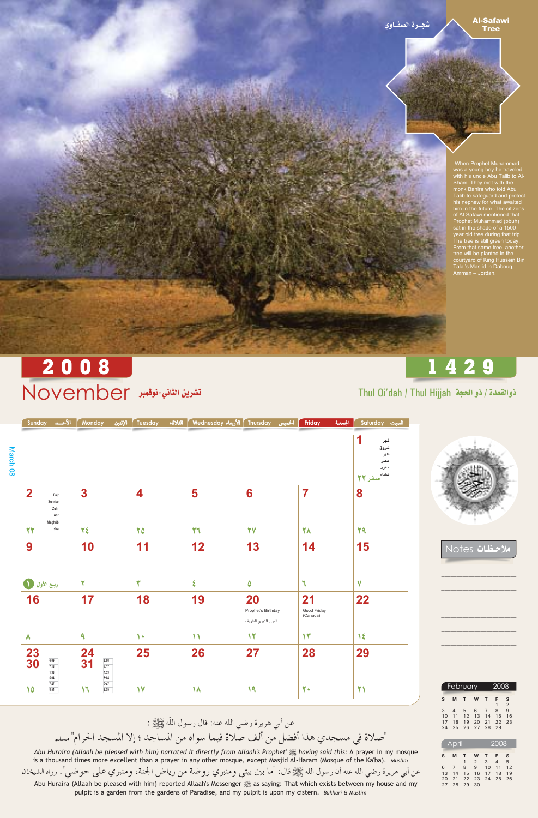### **Al-Safawi Tree**

When Prophet Muhammad was a young boy he traveled<br>with his uncle Abu Talib to Al-<br>Sham. They met with the<br>monk Bahira who told Abu<br>Talib to safeguard and protect<br>lis poles for what and the safeguard and protect his nephew for what awaited him in the future. The citizens<br>of Al-Safawi mentioned that<br>Prophet Muhammad (pbuh) sat in the shade of a 1500 year old tree during that trip. year old the during that the.<br>The tree is still green today.<br>From that same tree, another<br>tree will be planted in the<br>courtyard of King Hussein Bin<br>Talal's Masjid in Dabouq,<br>Amman – Jordan.

## 2008 تشرين الثاني-نوڤبر November

Thul Qi'dah / Thul Hijjah ذوالقعدة / ذو الحجة

1429

|                    | Sunday    | الأحسد                                    | Monday<br>الإثنين | Tuesday | الثلاثاء | Thursday   الأربعاء Wednesday | الخميس | Friday | الجمعة | Saturday السبت                                       |  |
|--------------------|-----------|-------------------------------------------|-------------------|---------|----------|-------------------------------|--------|--------|--------|------------------------------------------------------|--|
| <b>March</b><br>80 |           |                                           |                   |         |          |                               |        |        |        | فجر<br>شروق<br>ظهر<br>عصر<br>مغرب<br>عشاء<br>ُصفر ۲۲ |  |
|                    |           | Fajr<br>Sunrise<br>Zuhr<br>Asr<br>Maghrib | 3                 |         |          | 5                             | 6      |        |        | 8                                                    |  |
|                    | <b>UW</b> | Isha                                      | 22                | 70      |          | 77                            | 27     | 21     |        | 29                                                   |  |



Motes الاحظات

| 9                                               | 10                                                                                     | 11           | 12                 | 13                                               | 14                            | 15          |
|-------------------------------------------------|----------------------------------------------------------------------------------------|--------------|--------------------|--------------------------------------------------|-------------------------------|-------------|
| O<br>ربيع الأول                                 | ₩                                                                                      | ₩            | $\boldsymbol{\xi}$ | $\boldsymbol{\delta}$                            | $\mathbb{I}$                  | $\mathbf v$ |
| 16                                              | 17                                                                                     | 18           | 19                 | 20<br>Prophet's Birthday<br>المولد النبوي الشريف | 21<br>Good Friday<br>(Canada) | 22          |
| $\lambda$                                       | ٩                                                                                      | $\bullet$    | ۱۱                 | 12                                               | $\mathcal{N}$                 | 1٤          |
| $\frac{23}{30}$<br>6:09<br>7:18<br>1:33<br>5:04 | 24<br>6:08<br>31<br>$\frac{7:17}{1:33}$<br>5:04                                        | 25           | 26                 | 27                                               | 28                            | 29          |
| 7:47<br>10<br>8:54                              | $\begin{array}{ c } \hline 7:47 \\ \hline 8:55 \\ \hline \end{array}$<br>$\mathcal{M}$ | $\mathsf{V}$ | 18                 | 19                                               | 7.                            | 21          |

عن أبي هريرة رضي الله عنه: قال رسول اللَّه ﷺ : "صلاة في مسجدي هذا أفضل من ألف صلاة فيما سواه من المساجد ؛ إلا المسجد الحرام" مسلم

Abu Huraira (Allaah be pleased with him) narrated It directly from Allaah's Prophet' said this: A prayer in my mosque is a thousand times more excellent than a prayer in any other mosque, except Masjid Al-Haram (Mosque of the Ka'ba). Muslim

عن أبي هريرة رضي الله عنه أن رسول الله ﷺ قال: "ما بين بيتي ومنبري روضة من رياض الجنة، ومنبري على حوضي". رواه الشيخان Abu Huraira (Allaah be pleased with him) reported Allaah's Messenger saying: That which exists between my house and my pulpit is a garden from the gardens of Paradise, and my pulpit is upon my cistern. Bukhari & Muslim

|    | February | 2008     |          |                |              |                |
|----|----------|----------|----------|----------------|--------------|----------------|
| S. | М        | T        | <b>W</b> | $\mathbf{T}$   | F            | S              |
|    |          |          |          |                | $\mathbf{1}$ | $\mathfrak{D}$ |
| 3  |          | 4 5 6    |          | $\overline{7}$ | 8            | 9              |
| 10 |          | 11 12 13 |          | 14             | 15           | 16             |
| 17 | 18       | 19       | 20       | 21 22          |              | 23             |
| 24 | 25       |          | 26 27 28 |                | 29           |                |

|    | April |       |               | 2008           |      |                 |
|----|-------|-------|---------------|----------------|------|-----------------|
| S  | M     | т     | W             | т              | F    | S               |
|    |       | 1     | $\mathcal{P}$ | $\overline{3}$ | 4    | $5\overline{5}$ |
| 6  | 7     | 8     | 9             | 10             | 11   | 12              |
| 13 | 14    | 15    | 16            | 17             | 18   | 1.9             |
| 20 | 21    | 22 23 |               | 24             | - 25 | 26              |
| 27 | 28    | 29    | 30            |                |      |                 |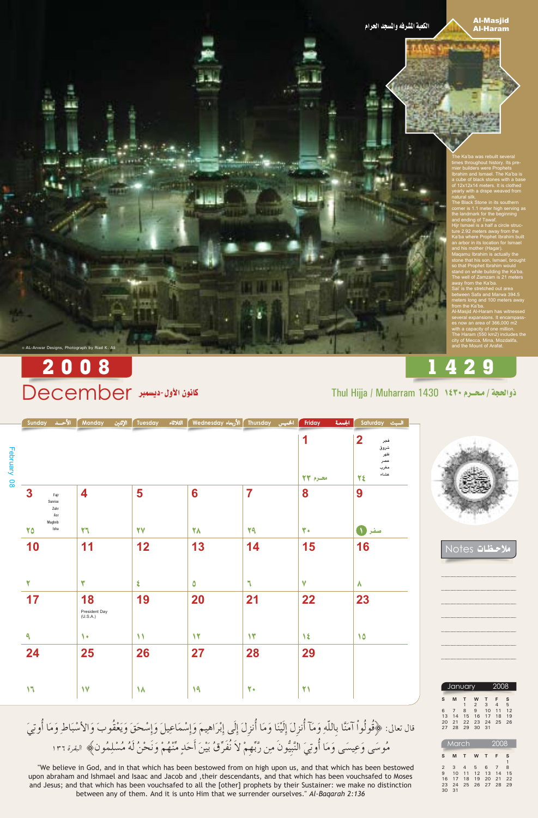### **Al-Masjid Al-Haram**

he Ka'ba was rebuilt several times throughout history. Its pre-<br>mier builders were Prophets<br>Ibrahim and Ismael. The Ka'ba is actually and Sinael. The Ka ba is<br>of 12x12x14 meters. It is clothed<br>yearly with a drape weaved from

The Black Stone in its southern corner is 1.1 meter high serving as<br>the landmark for the beginning the landmark for the beginning<br>and ending of Tawaf.<br>Hijr Ismael is a half a circle struc-<br>ture 2.92 meters away from the<br>Ka'ba where Prophet Ibrahim built<br>an arbor in its location for Ismael<br>and his mother (Hagar).<br>Maqamu

so that Prophet Ibrahim would<br>stand on while building the Ka'ba.<br>The well of Zamzam is 21 meters

The well of Zamzam is 21 meters<br>away from the Ka'ba.<br>Sai' is the stretched out area<br>between Safa and Marwa 394.5<br>meters long and 100 meters away<br>from the Ka'ba.<br>Al-Masjid Al-Haram has witnessed<br>several expansions. It encam

several expansions. It champasses<br>is now an area of 366,000 m2<br>with a capacity of one million.<br>The Haram (550 km2) includes the<br>city of Mecca, Mina, Mozdalifa,<br>and the Mount of Arafat.

# 2008

& AL-Anwar Designs, Photograph by Riad K. Ali

## كانون الأول- ديسمبر December

## Thul Hijja / Muharram 1430 1٤٣٠

|                | الأحــد Sunday |                                | الإثنين<br>Monday | الثلاثاء<br>Tuesday | ُ Vednesday الأربعاء Wednesday | الخميس | الجمعة<br>Friday | Saturday السبت                                       |
|----------------|----------------|--------------------------------|-------------------|---------------------|--------------------------------|--------|------------------|------------------------------------------------------|
| February<br>80 |                |                                |                   |                     |                                |        | محرم ٢٣          | 2<br>فجر<br>شروق<br>ظهر<br>عصر<br>مغرب<br>عشاء<br>٢٤ |
|                | 3              | Fajr<br>Sunrise<br>Zuhr<br>Asr | 4                 | 5                   | 6                              |        | 8                | 9                                                    |
|                | Y A            | Maghrib<br>Isha                | ٢٦                | <b>YV</b>           | <b>YA</b>                      | YA     | ٣.               | $\blacksquare$                                       |



<u> مظات Notes</u>

1429

| 10                       | 11                        | 12                 | 13 | 14            | 15                | 16        |  |
|--------------------------|---------------------------|--------------------|----|---------------|-------------------|-----------|--|
|                          |                           |                    |    |               |                   |           |  |
| $\overline{\phantom{a}}$ | w                         | $\boldsymbol{\xi}$ | ٥  | $\Box$        | $\mathbf v$       | $\lambda$ |  |
| 17                       | 18                        | 19                 | 20 | 21            | 22                | 23        |  |
|                          | President Day<br>(U.S.A.) |                    |    |               |                   |           |  |
| ٩                        | 1.                        | ١                  | 1٢ | $\mathcal{N}$ | $\sqrt{\epsilon}$ | 10        |  |
| 24                       | 25                        | 26                 | 27 | 28            | 29                |           |  |
|                          |                           |                    |    |               |                   |           |  |
| $\mathcal{M}$            | 17                        | $\lambda$          | 19 | $\mathbf{Y}$  | 21                |           |  |

قال تعالى: ﴿فُولُواْ آمَنَّا بِاللَّهِ وَمَآ أُنزِلَ إِلَيْنَا وَمَا أُنزِلَ إِلَى إِبْرَاهِيمَ وَإِسْمَاعِيلَ وَإِسْحَقَ وَيَعْقُوبَ وَالأَسْبَاطِ وَمَا أُوتِيَ مُوسَى وَعِيسَى وَمَا أُوتِيَ النَّبِيُّونَ مِن رَّبِّهِمْ لاَ نُفَرِّقُ بَيْنَ أَحَدٍ مِّنْهُمْ وَنَحْنُ لَهُ مُسْلِمُونَ﴾ البقرة ١٣٦

"We believe in God, and in that which has been bestowed from on high upon us, and that which has been bestowed upon abraham and Ishmael and Isaac and Jacob and , their descendants, and that which has been vouchsafed to Moses and Jesus; and that which has been vouchsafed to all the [other] prophets by their Sustainer: we make no distinction between any of them. And it is unto Him that we surrender ourselves." Al-Baqarah 2:136

|    | January        |              | 2008           |              |                |    |
|----|----------------|--------------|----------------|--------------|----------------|----|
| S  | M              | T.           | W              | т            | F.             | s  |
|    |                | $\mathbf{1}$ | $\overline{2}$ | $\mathbf{3}$ | $\overline{4}$ | 5  |
| 6  | 7              | 8            |                | 9 10         | 11             | 12 |
| 13 | 14             |              | 15 16 17       |              | 18             | 19 |
| 20 | 21 22 23 24 25 |              |                |              |                | 26 |
| 27 | 28             | 29           | 30             | $-31$        |                |    |

|    | <b>March</b>    |                | 2008     |              |      |    |
|----|-----------------|----------------|----------|--------------|------|----|
| S  | M               | т              | W        | $\mathbf{T}$ | F    | S  |
|    |                 |                |          |              |      | 1  |
| 2  | $\mathbf{3}$    | $\overline{4}$ | 5        | 6            | 7    | 8  |
| 9  | 10              |                | 11 12 13 |              | 14   | 15 |
| 16 | 17              | 18             | 19       | 20           | 21   | 22 |
| 23 | 24              | 25             | 26       | 27           | - 28 | 29 |
| 30 | $\overline{31}$ |                |          |              |      |    |